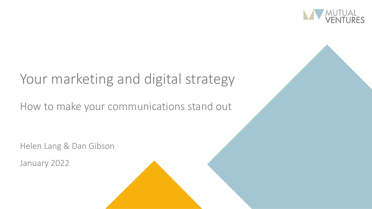

## Your marketing and digital strategy

### How to make your communications stand out

Helen Lang & Dan Gibson

January 2022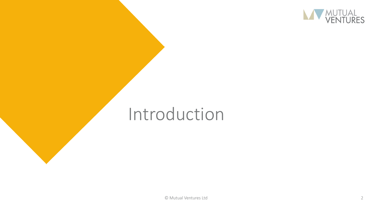

# Introduction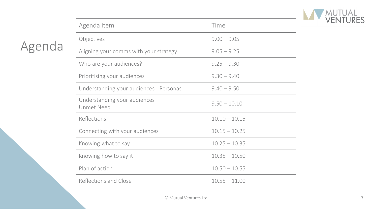

| Agenda item                                         | Time            |
|-----------------------------------------------------|-----------------|
| Objectives                                          | $9.00 - 9.05$   |
| Aligning your comms with your strategy              | $9.05 - 9.25$   |
| Who are your audiences?                             | $9.25 - 9.30$   |
| Prioritising your audiences                         | $9.30 - 9.40$   |
| Understanding your audiences - Personas             | $9.40 - 9.50$   |
| Understanding your audiences -<br><b>Unmet Need</b> | $9.50 - 10.10$  |
| Reflections                                         | $10.10 - 10.15$ |
| Connecting with your audiences                      | $10.15 - 10.25$ |
| Knowing what to say                                 | $10.25 - 10.35$ |
| Knowing how to say it                               | $10.35 - 10.50$ |
| Plan of action                                      | $10.50 - 10.55$ |
| Reflections and Close                               | $10.55 - 11.00$ |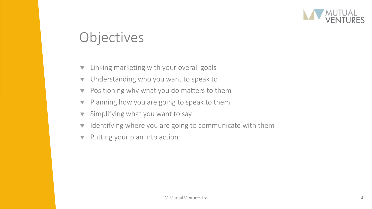

## **Objectives**

- **The Linking marketing with your overall goals**
- $\bullet$  Understanding who you want to speak to
- $\blacktriangledown$  Positioning why what you do matters to them
- $\blacktriangledown$  Planning how you are going to speak to them
- $\blacktriangledown$  Simplifying what you want to say
- $\blacktriangledown$  Identifying where you are going to communicate with them
- $\blacktriangledown$  Putting your plan into action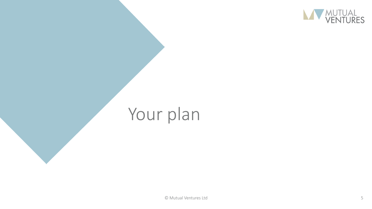

# Your plan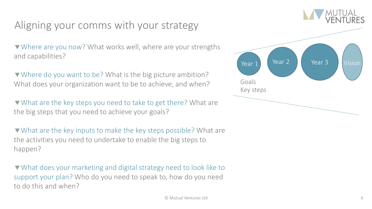### Aligning your comms with your strategy

Where are you now? What works well, where are your strengths and capabilities?

▼ Where do you want to be? What is the big picture ambition? What does your organization want to be to achieve, and when?

▼ What are the key steps you need to take to get there? What are the big steps that you need to achieve your goals?

What are the key inputs to make the key steps possible? What are the activities you need to undertake to enable the big steps to happen?

What does your marketing and digital strategy need to look like to support your plan? Who do you need to speak to, how do you need to do this and when?

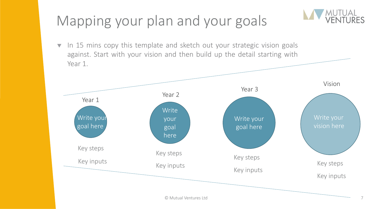## Mapping your plan and your goals

 $\bullet$  In 15 mins copy this template and sketch out your strategic vision goals against. Start with your vision and then build up the detail starting with Year 1.

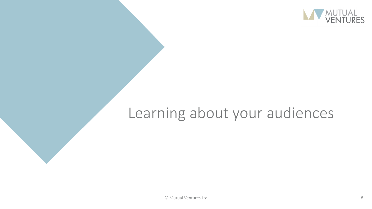

## Learning about your audiences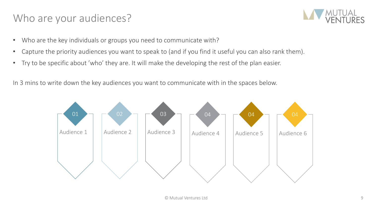#### Who are your audiences?



- Who are the key individuals or groups you need to communicate with?
- Capture the priority audiences you want to speak to (and if you find it useful you can also rank them).
- Try to be specific about 'who' they are. It will make the developing the rest of the plan easier.

In 3 mins to write down the key audiences you want to communicate with in the spaces below.

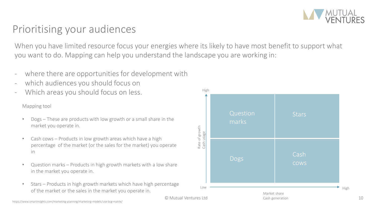### Prioritising your audiences

When you have limited resource focus your energies where its likely to have most benefit to support what you want to do. Mapping can help you understand the landscape you are working in:

- where there are opportunities for development with
- which audiences you should focus on
- Which areas you should focus on less.

#### Mapping tool

- Dogs These are products with low growth or a small share in the market you operate in.
- Cash cows Products in low growth areas which have a high percentage of the market (or the sales for the market) you operate in
- Question marks Products in high growth markets with a low share in the market you operate in.
- Stars Products in high growth markets which have high percentage of the market or the sales in the market you operate in.  $\mathbb{R}^n$  and  $\mathbb{R}^n$  and  $\mathbb{R}^n$  and  $\mathbb{R}^n$  and  $\mathbb{R}^n$  and  $\mathbb{R}^n$  and  $\mathbb{R}^n$  and  $\mathbb{R}^n$  and  $\mathbb{R}^n$  and  $\mathbb{R}^n$  and  $\mathbb{R}^n$  and



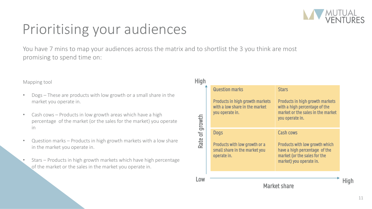

## Prioritising your audiences

You have 7 mins to map your audiences across the matrix and to shortlist the 3 you think are most promising to spend time on:

#### Mapping tool

- Dogs These are products with low growth or a small share in the market you operate in.
- Cash cows Products in low growth areas which have a high percentage of the market (or the sales for the market) you operate in
- Question marks Products in high growth markets with a low share in the market you operate in.
- Stars Products in high growth markets which have high percentage of the market or the sales in the market you operate in.

| <b>High</b>    |                                                                                                                      |                                                                                                                                                       |  |
|----------------|----------------------------------------------------------------------------------------------------------------------|-------------------------------------------------------------------------------------------------------------------------------------------------------|--|
|                | <b>Question marks</b><br><b>Products in high growth markets</b><br>with a low share in the market<br>you operate in. | <b>Stars</b><br><b>Products in high growth markets</b><br>with a high percentage of the<br>market or the sales in the market<br>you operate in.       |  |
| Rate of growth | <b>Dogs</b><br>Products with low growth or a<br>small share in the market you<br>operate in.                         | <b>Cash cows</b><br><b>Products with low growth which</b><br>have a high percentage of the<br>market (or the sales for the<br>market) you operate in. |  |
|                | <b>Market share</b>                                                                                                  |                                                                                                                                                       |  |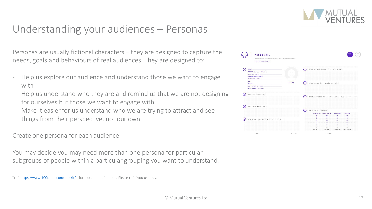### Understanding your audiences – Personas

Personas are usually fictional characters – they are designed to capture the needs, goals and behaviours of real audiences. They are designed to:

- Help us explore our audience and understand those we want to engage with
- Help us understand who they are and remind us that we are not designing for ourselves but those we want to engage with.
- Make it easier for us understand who we are trying to attract and see things from their perspective, not our own.

Create one persona for each audience.

You may decide you may need more than one persona for particular subgroups of people within a particular grouping you want to understand.





<sup>\*</sup>ref: <https://www.100open.com/toolkit/> - for tools and definitions. Please ref if you use this.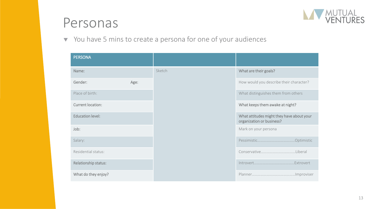

## Personas

 $\blacktriangledown$  You have 5 mins to create a persona for one of your audiences

| <b>PERSONA</b>           |      |        |                                                                        |
|--------------------------|------|--------|------------------------------------------------------------------------|
| Name:                    |      | Sketch | What are their goals?                                                  |
| Gender:                  | Age: |        | How would you describe their character?                                |
| Place of birth:          |      |        | What distinguishes them from others                                    |
| <b>Current location:</b> |      |        | What keeps them awake at night?                                        |
| <b>Education level:</b>  |      |        | What attitudes might they have about your<br>organization or business? |
| Job:                     |      |        | Mark on your persona                                                   |
| Salary:                  |      |        |                                                                        |
| Residential status:      |      |        |                                                                        |
| Relationship status:     |      |        |                                                                        |
| What do they enjoy?      |      |        |                                                                        |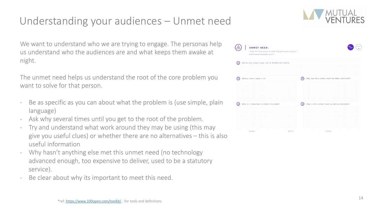### Understanding your audiences – Unmet need

We want to understand who we are trying to engage. The personas help us understand who the audiences are and what keeps them awake at night.

The unmet need helps us understand the root of the core problem you want to solve for that person.

- Be as specific as you can about what the problem is (use simple, plain language)
- Ask why several times until you get to the root of the problem.
- Try and understand what work around they may be using (this may give you useful clues) or whether there are no alternatives – this is also useful information
- Why hasn't anything else met this unmet need (no technology advanced enough, too expensive to deliver, used to be a statutory service).
- Be clear about why its important to meet this need.



| UNMET NEED.<br>"People don't want quarter-inch drills. They want quarter-inch holes."<br>PROFESSOR THEODORE LEVITT |       |                                                       |
|--------------------------------------------------------------------------------------------------------------------|-------|-------------------------------------------------------|
| Define the unmet need. (IN 10 WORDS OR FEWER).<br>Ω                                                                |       |                                                       |
| Whose unmet need is it?<br>$\overline{2}$                                                                          |       | ᢙ<br>Why has this unmet need not been satisfied?      |
| Why is it important to meet this need?                                                                             |       | $\circ$<br>How is this unmet need currently overcome? |
| NAME:                                                                                                              | DATE: | TEAM:                                                 |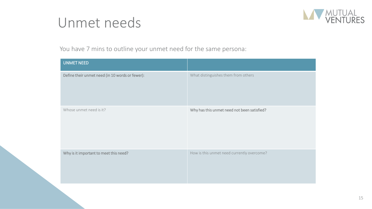## Unmet needs



You have 7 mins to outline your unmet need for the same persona:

| <b>UNMET NEED</b>                               |                                             |
|-------------------------------------------------|---------------------------------------------|
| Define their unmet need (in 10 words or fewer): | What distinguishes them from others         |
| Whose unmet need is it?                         | Why has this unmet need not been satisfied? |
| Why is it important to meet this need?          | How is this unmet need currently overcome?  |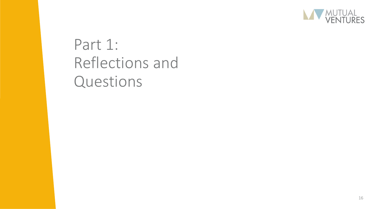

## Part 1: Reflections and Questions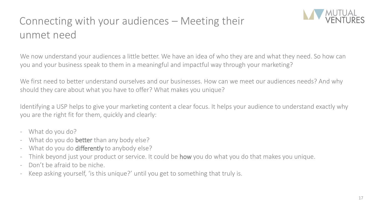## Connecting with your audiences – Meeting their unmet need



We now understand your audiences a little better. We have an idea of who they are and what they need. So how can you and your business speak to them in a meaningful and impactful way through your marketing?

We first need to better understand ourselves and our businesses. How can we meet our audiences needs? And why should they care about what you have to offer? What makes you unique?

Identifying a USP helps to give your marketing content a clear focus. It helps your audience to understand exactly why you are the right fit for them, quickly and clearly:

- What do you do?
- What do you do **better** than any body else?
- What do you do **differently** to anybody else?
- Think beyond just your product or service. It could be **how** you do what you do that makes you unique.
- Don't be afraid to be niche.
- Keep asking yourself, 'is this unique?' until you get to something that truly is.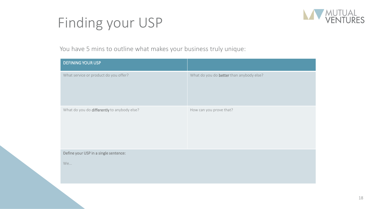## Finding your USP



You have 5 mins to outline what makes your business truly unique:

| <b>DEFINING YOUR USP</b>                    |                                          |
|---------------------------------------------|------------------------------------------|
| What service or product do you offer?       | What do you do better than anybody else? |
| What do you do differently to anybody else? | How can you prove that?                  |
| Define your USP in a single sentence:       |                                          |
| We                                          |                                          |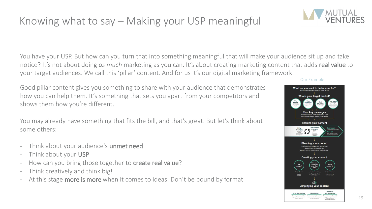### Knowing what to say – Making your USP meaningful

You have your USP. But how can you turn that into something meaningful that will make your audience sit up and take notice? It's not about doing *as much* marketing as you can. It's about creating marketing content that adds real value to your target audiences. We call this 'pillar' content. And for us it's our digital marketing framework.

Good pillar content gives you something to share with your audience that demonstrates how you can help them. It's something that sets you apart from your competitors and shows them how you're different.

You may already have something that fits the bill, and that's great. But let's think about some others:

- Think about your audience's unmet need
- Think about your USP
- How can you bring those together to **create real value**?
- Think creatively and think big!
- At this stage more is more when it comes to ideas. Don't be bound by format

#### Our Example





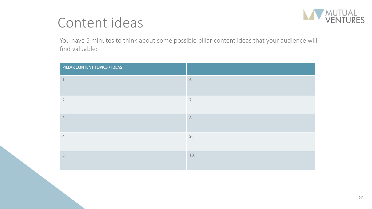## Content ideas



You have 5 minutes to think about some possible pillar content ideas that your audience will find valuable:

| PILLAR CONTENT TOPICS / IDEAS |      |
|-------------------------------|------|
| $1.$                          | 6.   |
| 2.                            | 7.   |
| 3.                            | 8.   |
| 4.                            | $9.$ |
| 5.                            | 10.  |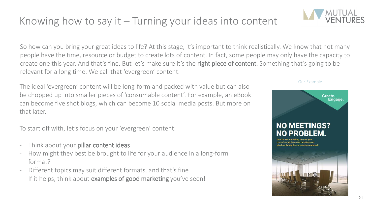### Knowing how to say it – Turning your ideas into content

So how can you bring your great ideas to life? At this stage, it's important to think realistically. We know that not many people have the time, resource or budget to create lots of content. In fact, some people may only have the capacity to create one this year. And that's fine. But let's make sure it's the right piece of content. Something that's going to be relevant for a long time. We call that 'evergreen' content.

The ideal 'evergreen' content will be long-form and packed with value but can also be chopped up into smaller pieces of 'consumable content'. For example, an eBook can become five shot blogs, which can become 10 social media posts. But more on that later.

To start off with, let's focus on your 'evergreen' content:

- Think about your **pillar content ideas**
- How might they best be brought to life for your audience in a long-form format?
- Different topics may suit different formats, and that's fine
- If it helps, think about examples of good marketing you've seen!

#### Our Example

**NO MEETINGS?** 

21



Create.

Engage.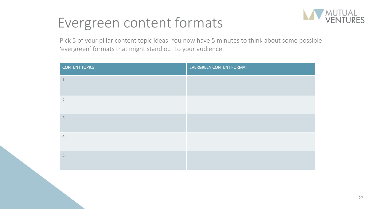## Evergreen content formats



Pick 5 of your pillar content topic ideas. You now have 5 minutes to think about some possible 'evergreen' formats that might stand out to your audience.

| <b>CONTENT TOPICS</b> | <b>EVERGREEN CONTENT FORMAT</b> |
|-----------------------|---------------------------------|
| $1.$                  |                                 |
| 2.                    |                                 |
| 3.                    |                                 |
| 4.                    |                                 |
| 5.                    |                                 |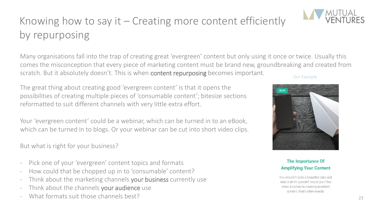## Knowing how to say it – Creating more content efficiently by repurposing

Many organisations fall into the trap of creating great 'evergreen' content but only using it once or twice. Usually this comes the misconception that every piece of marketing content must be brand new, groundbreaking and created from scratch. But it absolutely doesn't. This is when **content repurposing** becomes important.

The great thing about creating good 'evergreen content' is that it opens the possibilities of creating multiple pieces of 'consumable content'; bitesize sections reformatted to suit different channels with very little extra effort.

Your 'evergreen content' could be a webinar, which can be turned in to an eBook, which can be turned in to blogs. Or your webinar can be cut into short video clips.

But what is right for your business?

- Pick one of your 'evergreen' content topics and formats
- How could that be chopped up in to 'consumable' content?
- Think about the marketing channels your business currently use
- Think about the channels your audience use
- What formats suit those channels best?

#### Our Example

**BLOG** 



You wouldn't bake a beautiful cake and keep it all for yourself, would you? But when it comes to creating excellent content, that's often exactly

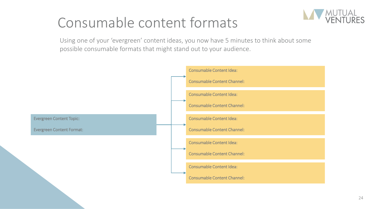## Consumable content formats



Using one of your 'evergreen' content ideas, you now have 5 minutes to think about some possible consumable formats that might stand out to your audience.

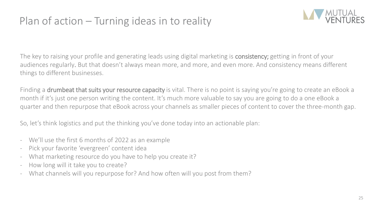### Plan of action – Turning ideas in to reality



The key to raising your profile and generating leads using digital marketing is consistency; getting in front of your audiences regularly. But that doesn't always mean more, and more, and even more. And consistency means different things to different businesses.

Finding a **drumbeat that suits your resource capacity** is vital. There is no point is saying you're going to create an eBook a month if it's just one person writing the content. It's much more valuable to say you are going to do a one eBook a quarter and then repurpose that eBook across your channels as smaller pieces of content to cover the three-month gap.

So, let's think logistics and put the thinking you've done today into an actionable plan:

- We'll use the first 6 months of 2022 as an example
- Pick your favorite 'evergreen' content idea
- What marketing resource do you have to help you create it?
- How long will it take you to create?
- What channels will you repurpose for? And how often will you post from them?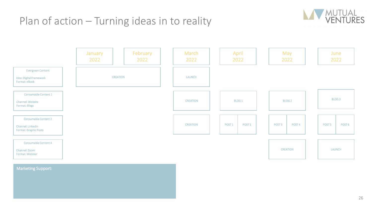### Plan of action – Turning ideas in to reality





#### Marketing Support:

26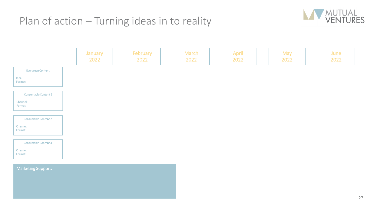### Plan of action – Turning ideas in to reality



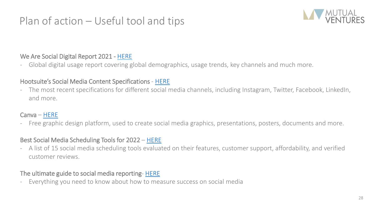### Plan of action – Useful tool and tips



#### We Are Social Digital Report 2021 - [HERE](https://wearesocial.com/uk/blog/2021/01/digital-2021-the-latest-insights-into-the-state-of-digital/)

- Global digital usage report covering global demographics, usage trends, key channels and much more.

#### Hootsuite's Social Media Content Specifications - [HERE](https://blog.hootsuite.com/social-media-image-sizes-guide/)

The most recent specifications for different social media channels, including Instagram, Twitter, Facebook, LinkedIn, and more.

#### Canva – [HERE](https://www.canva.com/)

- Free graphic design platform, used to create social media graphics, presentations, posters, documents and more.

#### Best Social Media Scheduling Tools for 2022 – [HERE](https://www.socialpilot.co/social-media-scheduling-tools)

- A list of 15 social media scheduling tools evaluated on their features, customer support, affordability, and verified customer reviews.

#### The ultimate guide to social media reporting- [HERE](https://blog.hubspot.com/marketing/social-media-analytics)

Everything you need to know about how to measure success on social media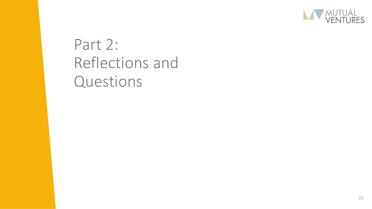

## Part 2: Reflections and Questions